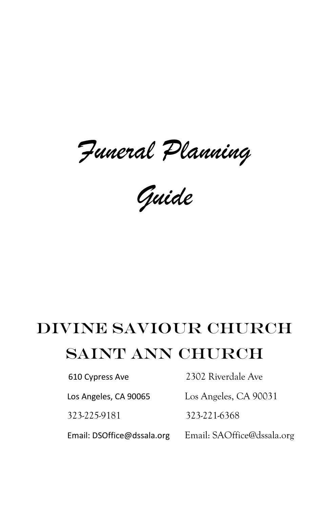*Funeral Planning* 

*Guide*

# Divine Saviour Church Saint Ann Church

610 Cypress Ave 2302 Riverdale Ave

Los Angeles, CA 90065 Los Angeles, CA 90031

323-225-9181 323-221-6368

Email: DSOffice@dssala.org Email: SAOffice@dssala.org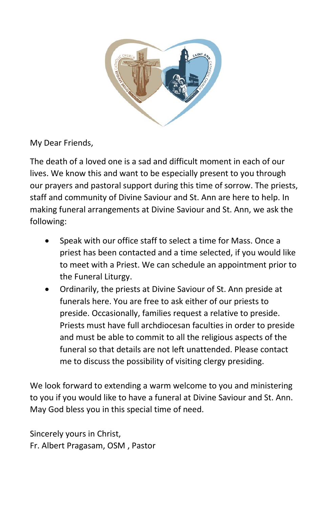

My Dear Friends,

The death of a loved one is a sad and difficult moment in each of our lives. We know this and want to be especially present to you through our prayers and pastoral support during this time of sorrow. The priests, staff and community of Divine Saviour and St. Ann are here to help. In making funeral arrangements at Divine Saviour and St. Ann, we ask the following:

- Speak with our office staff to select a time for Mass. Once a priest has been contacted and a time selected, if you would like to meet with a Priest. We can schedule an appointment prior to the Funeral Liturgy.
- Ordinarily, the priests at Divine Saviour of St. Ann preside at funerals here. You are free to ask either of our priests to preside. Occasionally, families request a relative to preside. Priests must have full archdiocesan faculties in order to preside and must be able to commit to all the religious aspects of the funeral so that details are not left unattended. Please contact me to discuss the possibility of visiting clergy presiding.

We look forward to extending a warm welcome to you and ministering to you if you would like to have a funeral at Divine Saviour and St. Ann. May God bless you in this special time of need.

Sincerely yours in Christ, Fr. Albert Pragasam, OSM , Pastor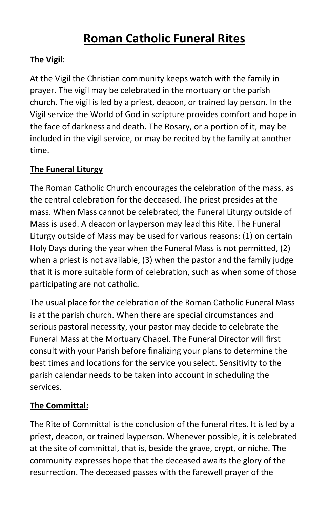# **Roman Catholic Funeral Rites**

# **The Vigil**:

At the Vigil the Christian community keeps watch with the family in prayer. The vigil may be celebrated in the mortuary or the parish church. The vigil is led by a priest, deacon, or trained lay person. In the Vigil service the World of God in scripture provides comfort and hope in the face of darkness and death. The Rosary, or a portion of it, may be included in the vigil service, or may be recited by the family at another time.

# **The Funeral Liturgy**

The Roman Catholic Church encourages the celebration of the mass, as the central celebration for the deceased. The priest presides at the mass. When Mass cannot be celebrated, the Funeral Liturgy outside of Mass is used. A deacon or layperson may lead this Rite. The Funeral Liturgy outside of Mass may be used for various reasons: (1) on certain Holy Days during the year when the Funeral Mass is not permitted, (2) when a priest is not available, (3) when the pastor and the family judge that it is more suitable form of celebration, such as when some of those participating are not catholic.

The usual place for the celebration of the Roman Catholic Funeral Mass is at the parish church. When there are special circumstances and serious pastoral necessity, your pastor may decide to celebrate the Funeral Mass at the Mortuary Chapel. The Funeral Director will first consult with your Parish before finalizing your plans to determine the best times and locations for the service you select. Sensitivity to the parish calendar needs to be taken into account in scheduling the services.

# **The Committal:**

The Rite of Committal is the conclusion of the funeral rites. It is led by a priest, deacon, or trained layperson. Whenever possible, it is celebrated at the site of committal, that is, beside the grave, crypt, or niche. The community expresses hope that the deceased awaits the glory of the resurrection. The deceased passes with the farewell prayer of the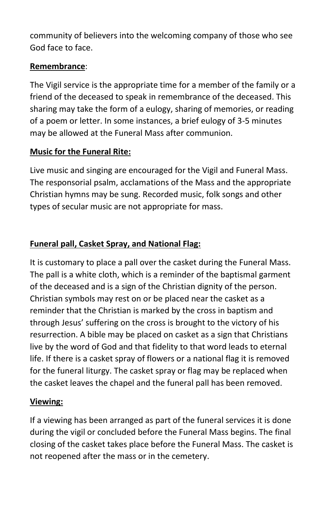community of believers into the welcoming company of those who see God face to face.

# **Remembrance**:

The Vigil service is the appropriate time for a member of the family or a friend of the deceased to speak in remembrance of the deceased. This sharing may take the form of a eulogy, sharing of memories, or reading of a poem or letter. In some instances, a brief eulogy of 3-5 minutes may be allowed at the Funeral Mass after communion.

#### **Music for the Funeral Rite:**

Live music and singing are encouraged for the Vigil and Funeral Mass. The responsorial psalm, acclamations of the Mass and the appropriate Christian hymns may be sung. Recorded music, folk songs and other types of secular music are not appropriate for mass.

# **Funeral pall, Casket Spray, and National Flag:**

It is customary to place a pall over the casket during the Funeral Mass. The pall is a white cloth, which is a reminder of the baptismal garment of the deceased and is a sign of the Christian dignity of the person. Christian symbols may rest on or be placed near the casket as a reminder that the Christian is marked by the cross in baptism and through Jesus' suffering on the cross is brought to the victory of his resurrection. A bible may be placed on casket as a sign that Christians live by the word of God and that fidelity to that word leads to eternal life. If there is a casket spray of flowers or a national flag it is removed for the funeral liturgy. The casket spray or flag may be replaced when the casket leaves the chapel and the funeral pall has been removed.

# **Viewing:**

If a viewing has been arranged as part of the funeral services it is done during the vigil or concluded before the Funeral Mass begins. The final closing of the casket takes place before the Funeral Mass. The casket is not reopened after the mass or in the cemetery.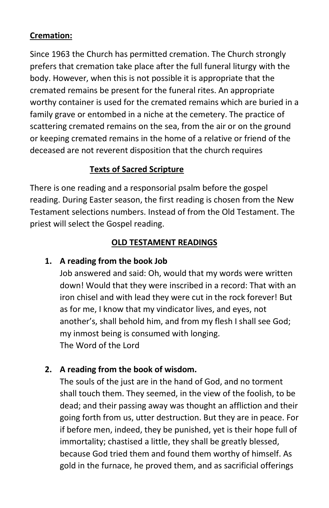# **Cremation:**

Since 1963 the Church has permitted cremation. The Church strongly prefers that cremation take place after the full funeral liturgy with the body. However, when this is not possible it is appropriate that the cremated remains be present for the funeral rites. An appropriate worthy container is used for the cremated remains which are buried in a family grave or entombed in a niche at the cemetery. The practice of scattering cremated remains on the sea, from the air or on the ground or keeping cremated remains in the home of a relative or friend of the deceased are not reverent disposition that the church requires

# **Texts of Sacred Scripture**

There is one reading and a responsorial psalm before the gospel reading. During Easter season, the first reading is chosen from the New Testament selections numbers. Instead of from the Old Testament. The priest will select the Gospel reading.

#### **OLD TESTAMENT READINGS**

# **1. A reading from the book Job**

Job answered and said: Oh, would that my words were written down! Would that they were inscribed in a record: That with an iron chisel and with lead they were cut in the rock forever! But as for me, I know that my vindicator lives, and eyes, not another's, shall behold him, and from my flesh I shall see God; my inmost being is consumed with longing. The Word of the Lord

# **2. A reading from the book of wisdom.**

The souls of the just are in the hand of God, and no torment shall touch them. They seemed, in the view of the foolish, to be dead; and their passing away was thought an affliction and their going forth from us, utter destruction. But they are in peace. For if before men, indeed, they be punished, yet is their hope full of immortality; chastised a little, they shall be greatly blessed, because God tried them and found them worthy of himself. As gold in the furnace, he proved them, and as sacrificial offerings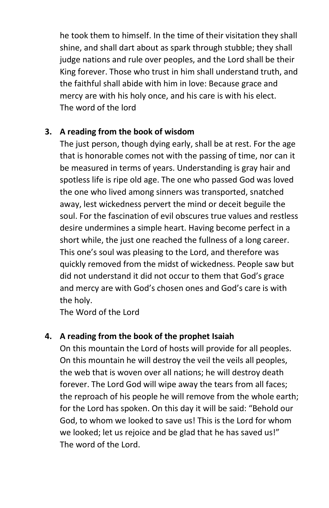he took them to himself. In the time of their visitation they shall shine, and shall dart about as spark through stubble; they shall judge nations and rule over peoples, and the Lord shall be their King forever. Those who trust in him shall understand truth, and the faithful shall abide with him in love: Because grace and mercy are with his holy once, and his care is with his elect. The word of the lord

#### **3. A reading from the book of wisdom**

The just person, though dying early, shall be at rest. For the age that is honorable comes not with the passing of time, nor can it be measured in terms of years. Understanding is gray hair and spotless life is ripe old age. The one who passed God was loved the one who lived among sinners was transported, snatched away, lest wickedness pervert the mind or deceit beguile the soul. For the fascination of evil obscures true values and restless desire undermines a simple heart. Having become perfect in a short while, the just one reached the fullness of a long career. This one's soul was pleasing to the Lord, and therefore was quickly removed from the midst of wickedness. People saw but did not understand it did not occur to them that God's grace and mercy are with God's chosen ones and God's care is with the holy.

The Word of the Lord

# **4. A reading from the book of the prophet Isaiah**

On this mountain the Lord of hosts will provide for all peoples. On this mountain he will destroy the veil the veils all peoples, the web that is woven over all nations; he will destroy death forever. The Lord God will wipe away the tears from all faces; the reproach of his people he will remove from the whole earth; for the Lord has spoken. On this day it will be said: "Behold our God, to whom we looked to save us! This is the Lord for whom we looked; let us rejoice and be glad that he has saved us!" The word of the Lord.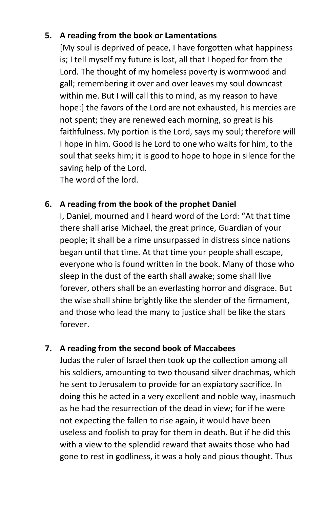#### **5. A reading from the book or Lamentations**

[My soul is deprived of peace, I have forgotten what happiness is; I tell myself my future is lost, all that I hoped for from the Lord. The thought of my homeless poverty is wormwood and gall; remembering it over and over leaves my soul downcast within me. But I will call this to mind, as my reason to have hope:] the favors of the Lord are not exhausted, his mercies are not spent; they are renewed each morning, so great is his faithfulness. My portion is the Lord, says my soul; therefore will I hope in him. Good is he Lord to one who waits for him, to the soul that seeks him; it is good to hope to hope in silence for the saving help of the Lord.

The word of the lord.

#### **6. A reading from the book of the prophet Daniel**

I, Daniel, mourned and I heard word of the Lord: "At that time there shall arise Michael, the great prince, Guardian of your people; it shall be a rime unsurpassed in distress since nations began until that time. At that time your people shall escape, everyone who is found written in the book. Many of those who sleep in the dust of the earth shall awake; some shall live forever, others shall be an everlasting horror and disgrace. But the wise shall shine brightly like the slender of the firmament, and those who lead the many to justice shall be like the stars forever.

#### **7. A reading from the second book of Maccabees**

Judas the ruler of Israel then took up the collection among all his soldiers, amounting to two thousand silver drachmas, which he sent to Jerusalem to provide for an expiatory sacrifice. In doing this he acted in a very excellent and noble way, inasmuch as he had the resurrection of the dead in view; for if he were not expecting the fallen to rise again, it would have been useless and foolish to pray for them in death. But if he did this with a view to the splendid reward that awaits those who had gone to rest in godliness, it was a holy and pious thought. Thus